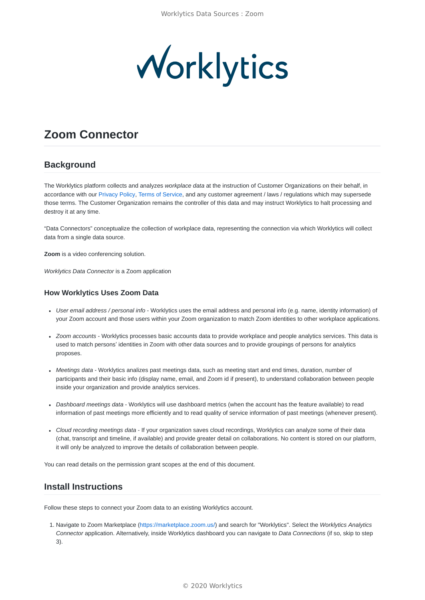

# **Zoom Connector**

# **Background**

The Worklytics platform collects and analyzes *workplace data* at the instruction of Customer Organizations on their behalf, in accordance with our [Privacy Policy](https://www.worklytics.co/privacy-policy/), [Terms of Service,](https://www.worklytics.co/terms-of-service/) and any customer agreement / laws / regulations which may supersede those terms. The Customer Organization remains the controller of this data and may instruct Worklytics to halt processing and destroy it at any time.

"Data Connectors" conceptualize the collection of workplace data, representing the connection via which Worklytics will collect data from a single data source.

**Zoom** is a video conferencing solution.

*Worklytics Data Connector* is a Zoom application

#### **How Worklytics Uses Zoom Data**

- *User email address / personal info* Worklytics uses the email address and personal info (e.g. name, identity information) of your Zoom account and those users within your Zoom organization to match Zoom identities to other workplace applications.
- *Zoom accounts* Worklytics processes basic accounts data to provide workplace and people analytics services. This data is used to match persons' identities in Zoom with other data sources and to provide groupings of persons for analytics proposes.
- *Meetings data* Worklytics analizes past meetings data, such as meeting start and end times, duration, number of participants and their basic info (display name, email, and Zoom id if present), to understand collaboration between people inside your organization and provide analytics services.
- *Dashboard meetings data* Worklytics will use dashboard metrics (when the account has the feature available) to read information of past meetings more efficiently and to read quality of service information of past meetings (whenever present).
- *Cloud recording meetings data* If your organization saves cloud recordings, Worklytics can analyze some of their data (chat, transcript and timeline, if available) and provide greater detail on collaborations. No content is stored on our platform, it will only be analyzed to improve the details of collaboration between people.

You can read details on the permission grant scopes at the end of this document.

### **Install Instructions**

Follow these steps to connect your Zoom data to an existing Worklytics account.

1. Navigate to Zoom Marketplace (<https://marketplace.zoom.us/>) and search for "Worklytics". Select the *Worklytics Analytics Connector* application. Alternatively, inside Worklytics dashboard you can navigate to *Data Connections* (if so, skip to step 3).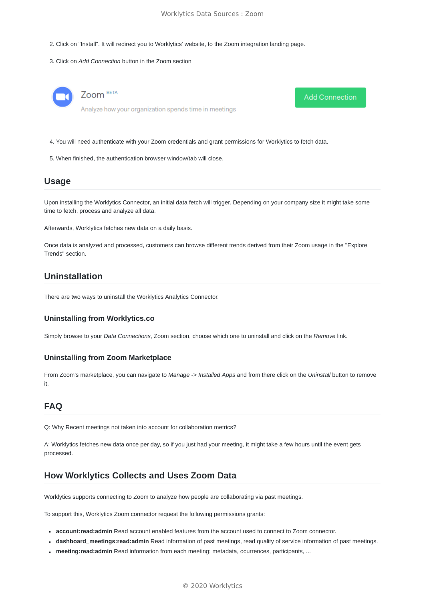**Add Connection** 

- 2. Click on "Install". It will redirect you to Worklytics' website, to the Zoom integration landing page.
- 3. Click on *Add Connection* button in the Zoom section



- 4. You will need authenticate with your Zoom credentials and grant permissions for Worklytics to fetch data.
- 5. When finished, the authentication browser window/tab will close.

#### **Usage**

Upon installing the Worklytics Connector, an initial data fetch will trigger. Depending on your company size it might take some time to fetch, process and analyze all data.

Afterwards, Worklytics fetches new data on a daily basis.

Once data is analyzed and processed, customers can browse different trends derived from their Zoom usage in the "Explore Trends" section.

### **Uninstallation**

There are two ways to uninstall the Worklytics Analytics Connector.

#### **Uninstalling from Worklytics.co**

Simply browse to your *Data Connections*, Zoom section, choose which one to uninstall and click on the *Remove* link.

#### **Uninstalling from Zoom Marketplace**

From Zoom's marketplace, you can navigate to *Manage* -> *Installed Apps* and from there click on the *Uninstall* button to remove it.

## **FAQ**

Q: Why Recent meetings not taken into account for collaboration metrics?

A: Worklytics fetches new data once per day, so if you just had your meeting, it might take a few hours until the event gets processed.

### **How Worklytics Collects and Uses Zoom Data**

Worklytics supports connecting to Zoom to analyze how people are collaborating via past meetings.

To support this, Worklytics Zoom connector request the following permissions grants:

- **account:read:admin** Read account enabled features from the account used to connect to Zoom connector.
- **dashboard\_meetings:read:admin** Read information of past meetings, read quality of service information of past meetings.
- **meeting:read:admin** Read information from each meeting: metadata, ocurrences, participants, ...